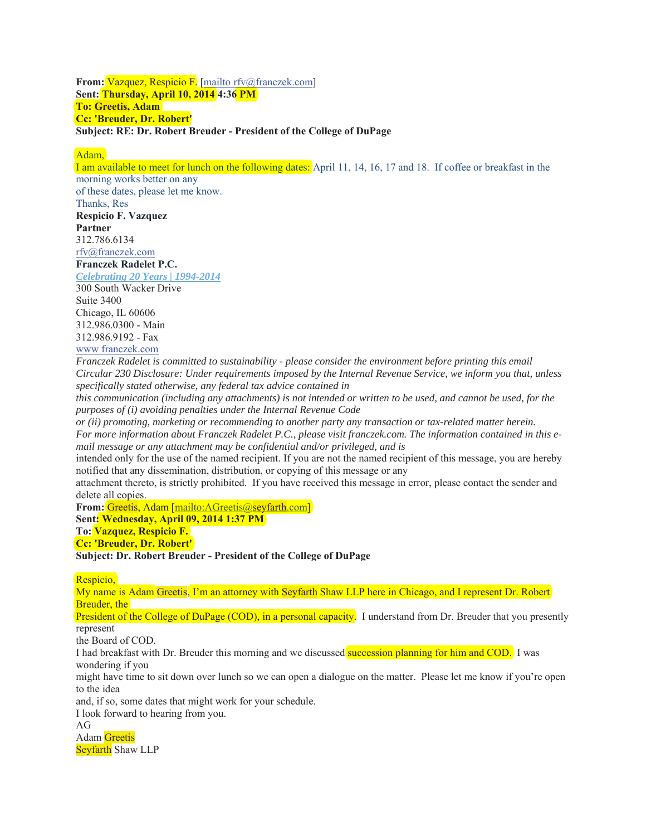**From:** Vazquez, Respicio F. [mailto rfv@franczek.com] **Sent: Thursday, April 10, 2014 4:36 PM To: Greetis, Adam Cc: 'Breuder, Dr. Robert' Subject: RE: Dr. Robert Breuder - President of the College of DuPage** 

Adam,

I am available to meet for lunch on the following dates: April 11, 14, 16, 17 and 18. If coffee or breakfast in the morning works better on any of these dates, please let me know. Thanks, Res **Respicio F. Vazquez Partner**  312.786.6134 rfv@franczek.com **Franczek Radelet P.C.**  *Celebrating 20 Years | 1994-2014*  300 South Wacker Drive

Suite 3400 Chicago, IL 60606 312.986.0300 - Main 312.986.9192 - Fax

www franczek.com

*Franczek Radelet is committed to sustainability - please consider the environment before printing this email Circular 230 Disclosure: Under requirements imposed by the Internal Revenue Service, we inform you that, unless specifically stated otherwise, any federal tax advice contained in* 

*this communication (including any attachments) is not intended or written to be used, and cannot be used, for the purposes of (i) avoiding penalties under the Internal Revenue Code* 

*or (ii) promoting, marketing or recommending to another party any transaction or tax-related matter herein. For more information about Franczek Radelet P.C., please visit franczek.com. The information contained in this email message or any attachment may be confidential and/or privileged, and is* 

intended only for the use of the named recipient. If you are not the named recipient of this message, you are hereby notified that any dissemination, distribution, or copying of this message or any

attachment thereto, is strictly prohibited. If you have received this message in error, please contact the sender and delete all copies.

**From:** Greetis, Adam [mailto:AGreetis@seyfarth.com]

**Sent: Wednesday, April 09, 2014 1:37 PM** 

**To: Vazquez, Respicio F.** 

**Cc: 'Breuder, Dr. Robert'** 

**Subject: Dr. Robert Breuder - President of the College of DuPage** 

Respicio,

My name is Adam Greetis, I'm an attorney with Seyfarth Shaw LLP here in Chicago, and I represent Dr. Robert Breuder, the

President of the College of DuPage (COD), in a personal capacity. I understand from Dr. Breuder that you presently represent

the Board of COD.

I had breakfast with Dr. Breuder this morning and we discussed succession planning for him and COD. I was wondering if you

might have time to sit down over lunch so we can open a dialogue on the matter. Please let me know if you're open to the idea

and, if so, some dates that might work for your schedule.

I look forward to hearing from you.

 $AG$ 

Adam Greetis

Seyfarth Shaw LLP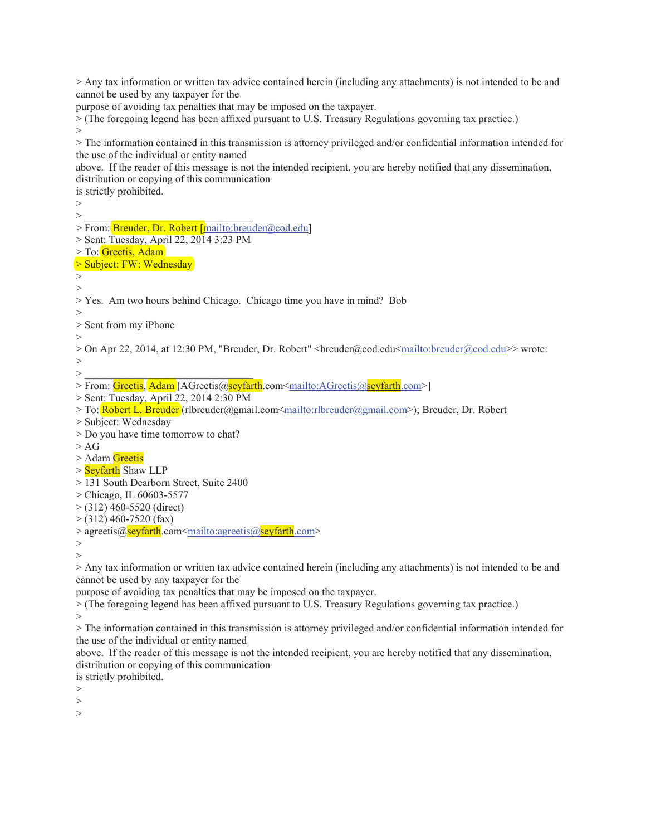> Any tax information or written tax advice contained herein (including any attachments) is not intended to be and cannot be used by any taxpayer for the

purpose of avoiding tax penalties that may be imposed on the taxpayer.

> (The foregoing legend has been affixed pursuant to U.S. Treasury Regulations governing tax practice.) >

> The information contained in this transmission is attorney privileged and/or confidential information intended for the use of the individual or entity named

above. If the reader of this message is not the intended recipient, you are hereby notified that any dissemination, distribution or copying of this communication

is strictly prohibited.

> > \_\_\_\_\_\_\_\_\_\_\_\_\_\_\_\_\_\_\_\_\_\_\_\_\_\_\_\_\_\_\_\_

> From: Breuder, Dr. Robert [mailto:breuder@cod.edu]

> Sent: Tuesday, April 22, 2014 3:23 PM

> To: Greetis, Adam

> Subject: FW: Wednesday

>

 $\rightarrow$ >

> Yes. Am two hours behind Chicago. Chicago time you have in mind? Bob

> Sent from my iPhone

>

> On Apr 22, 2014, at 12:30 PM, "Breuder, Dr. Robert" <br/>breuder@cod.edu<mailto:breuder@cod.edu>> wrote: >

 $>$   $\frac{1}{\sqrt{2}}$  ,  $\frac{1}{\sqrt{2}}$  ,  $\frac{1}{\sqrt{2}}$  ,  $\frac{1}{\sqrt{2}}$  ,  $\frac{1}{\sqrt{2}}$  ,  $\frac{1}{\sqrt{2}}$  ,  $\frac{1}{\sqrt{2}}$  ,  $\frac{1}{\sqrt{2}}$ 

> From: Greetis, Adam [AGreetis@seyfarth.com<mailto:AGreetis@seyfarth.com>]

> Sent: Tuesday, April 22, 2014 2:30 PM

> To: Robert L. Breuder (rlbreuder@gmail.com<mailto:rlbreuder@gmail.com>); Breuder, Dr. Robert

> Subject: Wednesday

> Do you have time tomorrow to chat?

 $> AG$ 

> Adam Greetis

> Seyfarth Shaw LLP

> 131 South Dearborn Street, Suite 2400

> Chicago, IL 60603-5577

 $>$  (312) 460-5520 (direct)

 $>$  (312) 460-7520 (fax)

> agreetis@seyfarth.com<mailto:agreetis@seyfarth.com>

> >

> Any tax information or written tax advice contained herein (including any attachments) is not intended to be and cannot be used by any taxpayer for the

purpose of avoiding tax penalties that may be imposed on the taxpayer.

> (The foregoing legend has been affixed pursuant to U.S. Treasury Regulations governing tax practice.) >

> The information contained in this transmission is attorney privileged and/or confidential information intended for the use of the individual or entity named

above. If the reader of this message is not the intended recipient, you are hereby notified that any dissemination, distribution or copying of this communication

is strictly prohibited.

 $\rightarrow$ 

>

>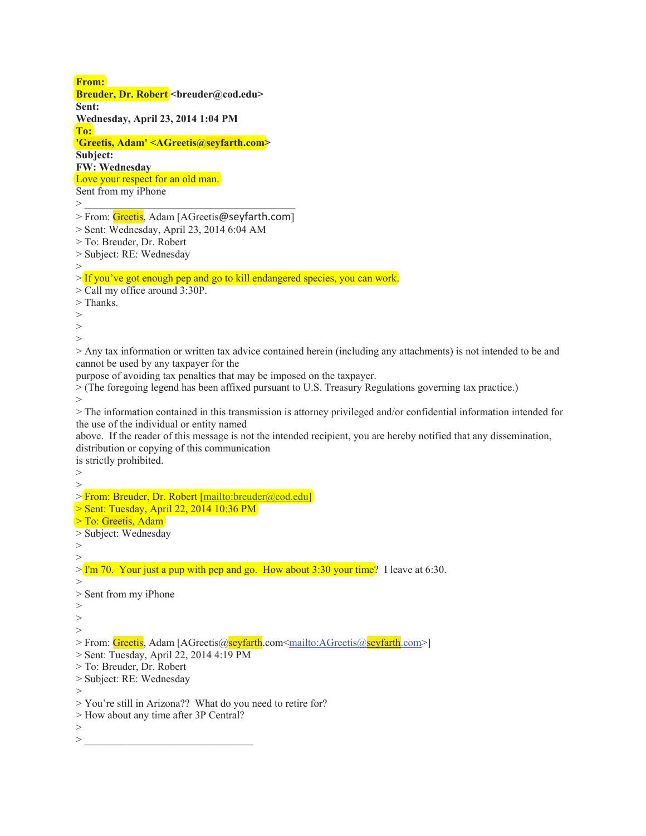**From:**  Breuder, Dr. Robert <br /> **Breuder, Dr. Robert <br />
<b>Example 2018 Sent: Wednesday, April 23, 2014 1:04 PM To: 'Greetis, Adam' <AGreetis@seyfarth.com> Subject: FW: Wednesday**  Love your respect for an old man. Sent from my iPhone > \_\_\_\_\_\_\_\_\_\_\_\_\_\_\_\_\_\_\_\_\_\_\_\_\_\_\_\_\_\_\_\_\_\_\_\_\_\_\_\_ > From: Greetis, Adam [AGreetis@seyfarth.com] > Sent: Wednesday, April 23, 2014 6:04 AM > To: Breuder, Dr. Robert > Subject: RE: Wednesday > > If you've got enough pep and go to kill endangered species, you can work. > Call my office around 3:30P. > Thanks. > > > > Any tax information or written tax advice contained herein (including any attachments) is not intended to be and cannot be used by any taxpayer for the purpose of avoiding tax penalties that may be imposed on the taxpayer. > (The foregoing legend has been affixed pursuant to U.S. Treasury Regulations governing tax practice.) > > The information contained in this transmission is attorney privileged and/or confidential information intended for the use of the individual or entity named above. If the reader of this message is not the intended recipient, you are hereby notified that any dissemination, distribution or copying of this communication is strictly prohibited.  $\geq$ > > From: Breuder, Dr. Robert [mailto:breuder@cod.edu] > Sent: Tuesday, April 22, 2014 10:36 PM > To: Greetis, Adam > Subject: Wednesday > >  $>$  I'm 70. Your just a pup with pep and go. How about 3:30 your time? I leave at 6:30.  $\rightarrow$ > Sent from my iPhone > > > > From: Greetis, Adam [AGreetis@seyfarth.com<mailto:AGreetis@seyfarth.com>] > Sent: Tuesday, April 22, 2014 4:19 PM > To: Breuder, Dr. Robert > Subject: RE: Wednesday > > You're still in Arizona?? What do you need to retire for? > How about any time after 3P Central? >  $>$   $\ge$   $\frac{1}{\sqrt{2}}$  . The contract of the contract of the contract of the contract of the contract of the contract of the contract of the contract of the contract of the contract of the contract of the contract of the c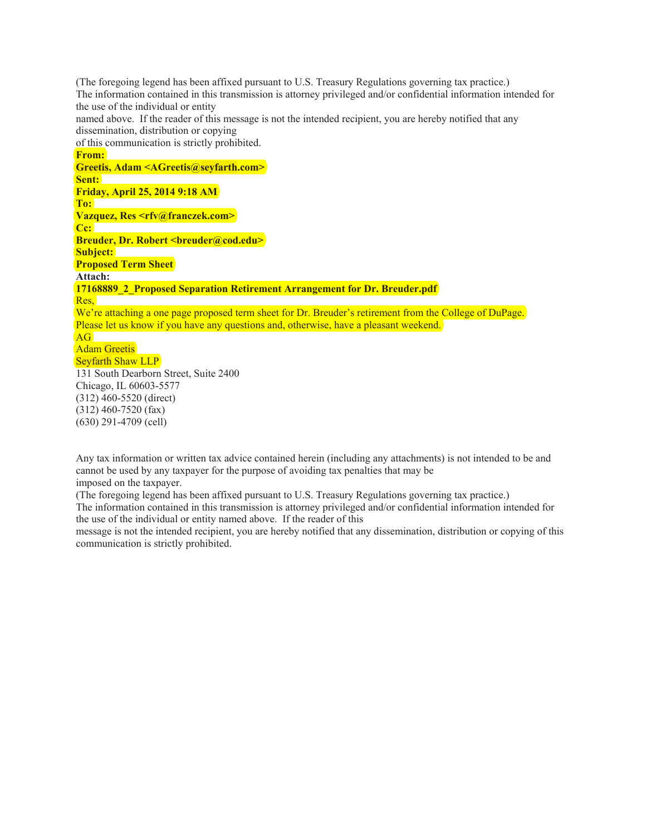(The foregoing legend has been affixed pursuant to U.S. Treasury Regulations governing tax practice.) The information contained in this transmission is attorney privileged and/or confidential information intended for the use of the individual or entity named above. If the reader of this message is not the intended recipient, you are hereby notified that any dissemination, distribution or copying of this communication is strictly prohibited. **From: Greetis, Adam <AGreetis@seyfarth.com> Sent: Friday, April 25, 2014 9:18 AM To: Vazquez, Res <rfv@franczek.com> Cc: Breuder, Dr. Robert <breuder@cod.edu> Subject: Proposed Term Sheet Attach: 17168889\_2\_Proposed Separation Retirement Arrangement for Dr. Breuder.pdf**  Res, We're attaching a one page proposed term sheet for Dr. Breuder's retirement from the College of DuPage. Please let us know if you have any questions and, otherwise, have a pleasant weekend. AG Adam Greetis Seyfarth Shaw LLP 131 South Dearborn Street, Suite 2400 Chicago, IL 60603-5577 (312) 460-5520 (direct) (312) 460-7520 (fax) (630) 291-4709 (cell)

Any tax information or written tax advice contained herein (including any attachments) is not intended to be and cannot be used by any taxpayer for the purpose of avoiding tax penalties that may be imposed on the taxpayer.

(The foregoing legend has been affixed pursuant to U.S. Treasury Regulations governing tax practice.) The information contained in this transmission is attorney privileged and/or confidential information intended for

the use of the individual or entity named above. If the reader of this

message is not the intended recipient, you are hereby notified that any dissemination, distribution or copying of this communication is strictly prohibited.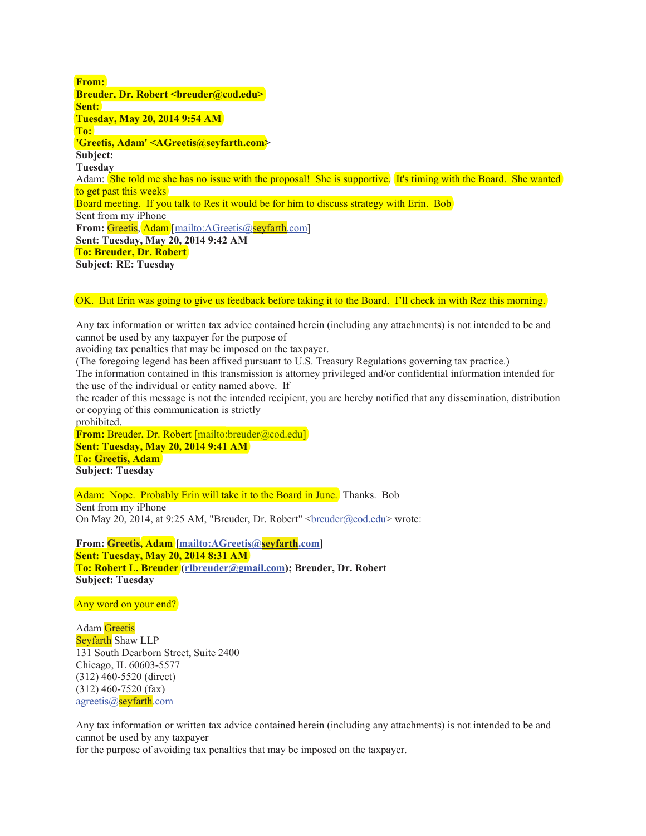**From: Breuder, Dr. Robert <breuder@cod.edu> Sent: Tuesday, May 20, 2014 9:54 AM To: 'Greetis, Adam' <AGreetis@seyfarth.com> Subject: Tuesday** Adam: She told me she has no issue with the proposal! She is supportive. It's timing with the Board. She wanted to get past this weeks Board meeting. If you talk to Res it would be for him to discuss strategy with Erin. Bob Sent from my iPhone **From:** Greetis, Adam [mailto:AGreetis@seyfarth.com] **Sent: Tuesday, May 20, 2014 9:42 AM To: Breuder, Dr. Robert Subject: RE: Tuesday** 

OK. But Erin was going to give us feedback before taking it to the Board. I'll check in with Rez this morning.

Any tax information or written tax advice contained herein (including any attachments) is not intended to be and cannot be used by any taxpayer for the purpose of

avoiding tax penalties that may be imposed on the taxpayer.

(The foregoing legend has been affixed pursuant to U.S. Treasury Regulations governing tax practice.)

The information contained in this transmission is attorney privileged and/or confidential information intended for the use of the individual or entity named above. If

the reader of this message is not the intended recipient, you are hereby notified that any dissemination, distribution or copying of this communication is strictly

prohibited.

**From:** Breuder, Dr. Robert [mailto:breuder@cod.edu]

**Sent: Tuesday, May 20, 2014 9:41 AM** 

**To: Greetis, Adam Subject: Tuesday** 

Adam: Nope. Probably Erin will take it to the Board in June. Thanks. Bob Sent from my iPhone On May 20, 2014, at 9:25 AM, "Breuder, Dr. Robert" <br/>breuder@cod.edu> wrote:

**From: Greetis, Adam [mailto:AGreetis@seyfarth.com] Sent: Tuesday, May 20, 2014 8:31 AM To: Robert L. Breuder (rlbreuder@gmail.com); Breuder, Dr. Robert Subject: Tuesday** 

Any word on your end?

Adam Greetis Seyfarth Shaw LLP 131 South Dearborn Street, Suite 2400 Chicago, IL 60603-5577 (312) 460-5520 (direct) (312) 460-7520 (fax) agreetis@seyfarth.com

Any tax information or written tax advice contained herein (including any attachments) is not intended to be and cannot be used by any taxpayer

for the purpose of avoiding tax penalties that may be imposed on the taxpayer.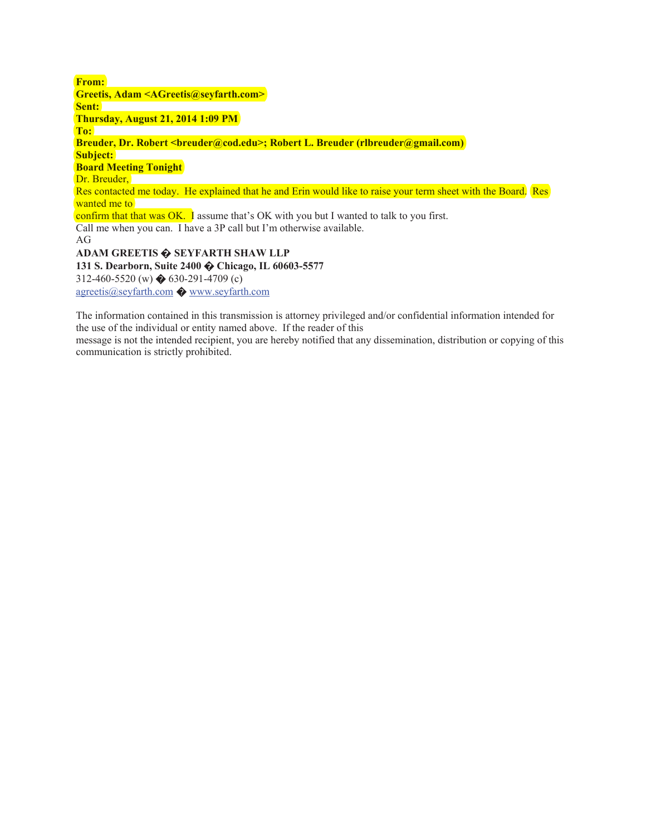**From: Greetis, Adam <AGreetis@seyfarth.com> Sent: Thursday, August 21, 2014 1:09 PM To: Breuder, Dr. Robert <breuder@cod.edu>; Robert L. Breuder (rlbreuder@gmail.com) Subject: Board Meeting Tonight**  Dr. Breuder, Res contacted me today. He explained that he and Erin would like to raise your term sheet with the Board. Res wanted me to confirm that that was OK. I assume that's OK with you but I wanted to talk to you first. Call me when you can. I have a 3P call but I'm otherwise available. AG **ADAM GREETIS ೦ SEYFARTH SHAW LLP 131 S. Dearborn, Suite 2400 ೦ Chicago, IL 60603-5577**  312-460-5520 (w)  $\bigotimes$  630-291-4709 (c) agreetis@seyfarth.com ೦ www.seyfarth.com

The information contained in this transmission is attorney privileged and/or confidential information intended for the use of the individual or entity named above. If the reader of this

message is not the intended recipient, you are hereby notified that any dissemination, distribution or copying of this communication is strictly prohibited.